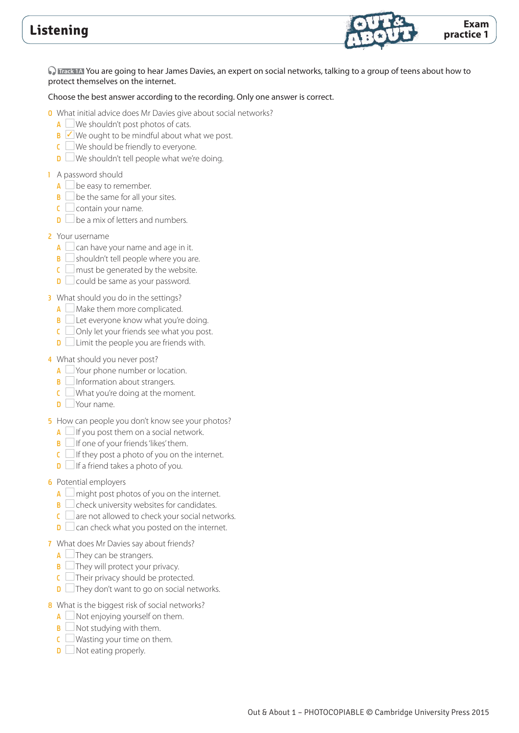

 **Track 1A** You are going to hear James Davies, an expert on social networks, talking to a group of teens about how to protect themselves on the internet.

#### Choose the best answer according to the recording. Only one answer is correct.

0 What initial advice does Mr Davies give about social networks?

- $A \cup W$ e shouldn't post photos of cats.
- $\mathsf{B}$   $\vee$  We ought to be mindful about what we post.
- $C$  We should be friendly to everyone.
- $\Box$  We shouldn't tell people what we're doing.

#### 1 A password should

- $A \Box$  be easy to remember.
- $\mathbf{B}$   $\Box$  be the same for all your sites.
- $\mathsf{C} \Box$  contain your name.
- $\mathbf{D}$  be a mix of letters and numbers.
- 2 Your username
	- $A \Box$  can have your name and age in it.
	- $\overline{B}$  shouldn't tell people where you are.
	- $\epsilon$  must be generated by the website.
	- **D** could be same as your password.
- 3 What should you do in the settings?
	- $A \square$  Make them more complicated.
	- $\mathbf{B}$  Let everyone know what you're doing.
	- $\overline{C}$  Only let your friends see what you post.
	- $\Box$  Limit the people you are friends with.

#### 4 What should you never post?

- A Your phone number or location.
- $\mathbf{B}$  Information about strangers.
- $\mathsf{C}$  What you're doing at the moment.
- **D** Your name.
- 5 How can people you don't know see your photos?
	- $A \Box$  If you post them on a social network.
	- $\mathbf{B}$  If one of your friends 'likes' them.
	- $\mathsf{C}$  If they post a photo of you on the internet.
	- $\Box$  If a friend takes a photo of you.

#### 6 Potential employers

- $A \Box$  might post photos of you on the internet.
- $\mathbf{B}$   $\Box$  check university websites for candidates.
- $\epsilon$  are not allowed to check your social networks.
- $\mathbf{D}$   $\Box$  can check what you posted on the internet.
- 7 What does Mr Davies say about friends?
	- $A$   $\Box$  They can be strangers.
	- $\overline{\mathsf{B}}$   $\Box$  They will protect your privacy.
	- $C$  Their privacy should be protected.
	- $\Box$  They don't want to go on social networks.
- 8 What is the biggest risk of social networks?
	- $A \square$  Not enjoying yourself on them.
	- $\mathbf{B}$   $\Box$  Not studying with them.
	- $\mathsf{C}$  Wasting your time on them.
	- $\Box$  Not eating properly.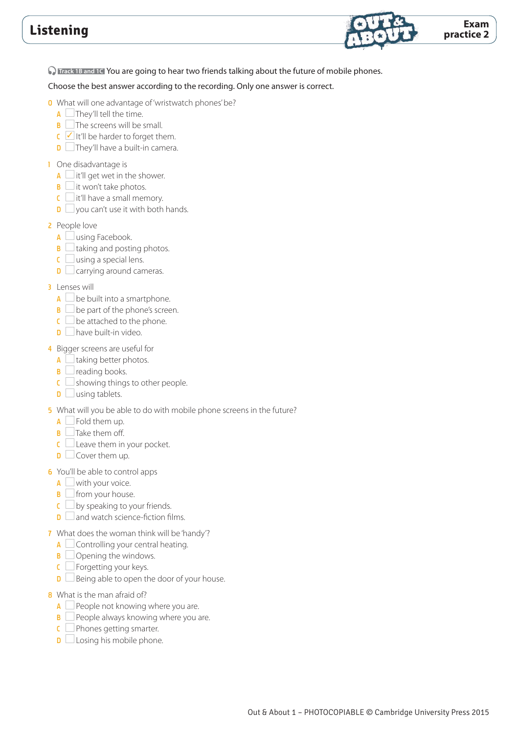

**O** Track 1B and 1C You are going to hear two friends talking about the future of mobile phones.

- 0 What will one advantage of 'wristwatch phones' be?
	- $\overline{A}$   $\Box$  They'll tell the time.
	- $\mathbf{B}$   $\Box$  The screens will be small.
	- $\overline{C}$  It'll be harder to forget them.
	- D They'll have a built-in camera.
- 1 One disadvantage is
	- $A$   $\Box$  it'll get wet in the shower.
	- $\mathbf{B} \square$  it won't take photos.
	- $\mathsf{C}$  it'll have a small memory.
	- $\Box$  you can't use it with both hands.
- 2 People love
	- $A \Box$  using Facebook.
	- $\mathbf{B}$   $\Box$  taking and posting photos.
	- $\mathsf{C} \square$  using a special lens.
	- $\mathbf{D}$   $\Box$  carrying around cameras.
- 3 Lenses will
	- $A \Box$  be built into a smartphone.
	- $\mathbf{B} \Box$  be part of the phone's screen.
	- $\mathbf{C} \square$  be attached to the phone.
	- $\Box$  have built-in video.
- 4 Bigger screens are useful for
	- $A \Box$  taking better photos.
	- $\mathbf{B}$  reading books.
	- $\overline{\mathsf{c}}$  showing things to other people.
	- $\mathbf{D}$  using tablets.
- 5 What will you be able to do with mobile phone screens in the future?
	- $A \Box$  Fold them up.
	- $\mathsf{B}$  Take them off.
	- $C \square$  Leave them in your pocket.
	- $D \Box$  Cover them up.
- 6 You'll be able to control apps
	- $A \square$  with your voice.
	- $\mathbf{B} \square$  from your house.
	- $\mathsf{C} \Box$  by speaking to your friends.
	- $\Box$  and watch science-fiction films.
- 7 What does the woman think will be 'handy'?
	- $A \Box$  Controlling your central heating.
	- $\mathbf{B}$   $\Box$  Opening the windows.
	- $C \Box$  Forgetting your keys.
	- $\Box$  Being able to open the door of your house.
- 8 What is the man afraid of?
	- $A \Box$  People not knowing where you are.
	- $\overline{B}$  People always knowing where you are.
	- $C$  Phones getting smarter.
	- $\Box$  Losing his mobile phone.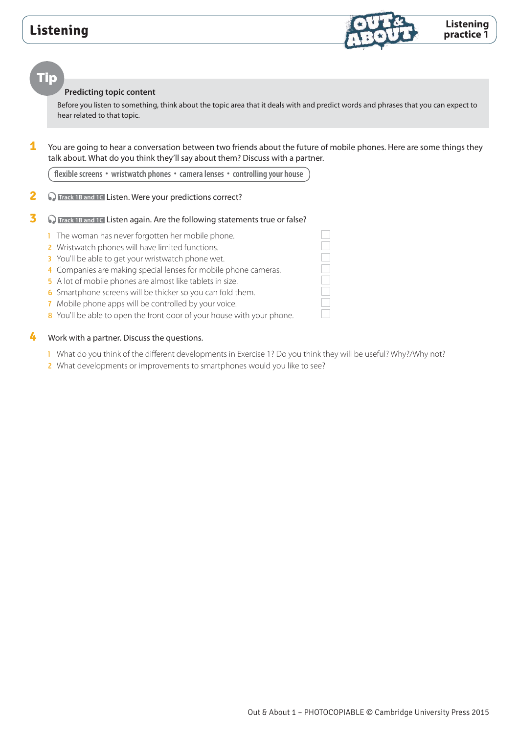

### Tip

#### **Predicting topic content**

Before you listen to something, think about the topic area that it deals with and predict words and phrases that you can expect to hear related to that topic.

**1** You are going to hear a conversation between two friends about the future of mobile phones. Here are some things they talk about. What do you think they'll say about them? Discuss with a partner.

**flexible screens • wristwatch phones • camera lenses • controlling your house**

### **2** • **O** Track 1B and 1C Listen. Were your predictions correct?

### **3 O** Track 1B and 1C Listen again. Are the following statements true or false?

- 1 The woman has never forgotten her mobile phone.
- 2 Wristwatch phones will have limited functions.
- 3 You'll be able to get your wristwatch phone wet.
- 4 Companies are making special lenses for mobile phone cameras.
- 5 A lot of mobile phones are almost like tablets in size.
- 6 Smartphone screens will be thicker so you can fold them.
- 7 Mobile phone apps will be controlled by your voice.
- 8 You'll be able to open the front door of your house with your phone.

#### **4** Work with a partner. Discuss the questions.

- 1 What do you think of the different developments in Exercise 1? Do you think they will be useful? Why?/Why not?
- 2 What developments or improvements to smartphones would you like to see?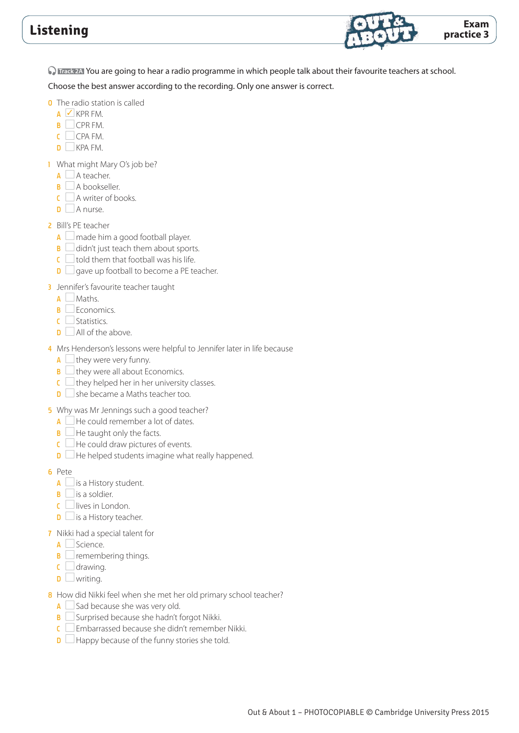

**O** Track 2A You are going to hear a radio programme in which people talk about their favourite teachers at school.

- 0 The radio station is called
	- $A \nightharpoonup KPRFM$ .
	- B CPR FM.
	- $C$   $CPA FM$ .
	- $\mathsf{D}$   $\Box$  KPA FM.
- 1 What might Mary O's job be?
	- $A \square$  A teacher.
	- $\overline{\mathsf{B}}$  A bookseller.
	- $C \cap A$  writer of books.
	- $\Box$  A nurse.
- 2 Bill's PE teacher
	- $A \square$  made him a good football player.
	- $\mathbf{B}$   $\Box$  didn't just teach them about sports.
	- $\mathsf{C} \square$  told them that football was his life.
	- $\Box$  gave up football to become a PE teacher.
- **3** Jennifer's favourite teacher taught
	- $A$  Maths.
	- $\mathbf{B}$  Economics.
	- C Statistics.
	- $\Box$  All of the above.
- 4 Mrs Henderson's lessons were helpful to Jennifer later in life because
	- $A \Box$  they were very funny.
	- $\mathbf{B}$   $\Box$  they were all about Economics.
	- $\mathsf{C}$  they helped her in her university classes.
	- $\Box$  she became a Maths teacher too.
- 5 Why was Mr Jennings such a good teacher?
	- $A \Box$  He could remember a lot of dates.
	- $\mathbf{B}$   $\Box$  He taught only the facts.
	- $\overline{C}$  He could draw pictures of events.
	- $\Box$  He helped students imagine what really happened.
- 6 Pete
	- $A \square$  is a History student.
	- $\overline{\mathbf{B}}$  is a soldier.
	- $C$  lives in London.
	- $\Box$  is a History teacher.
- 7 Nikki had a special talent for
	- $A \Box$  Science.
	- $\mathbf{B}$   $\Box$  remembering things.
	- $\mathsf{C}$  drawing.
	- $\mathsf{D}$  writing.
- 8 How did Nikki feel when she met her old primary school teacher?
	- $A \Box$  Sad because she was very old.
	- B Surprised because she hadn't forgot Nikki.
	- C Embarrassed because she didn't remember Nikki.
	- $\Box$  Happy because of the funny stories she told.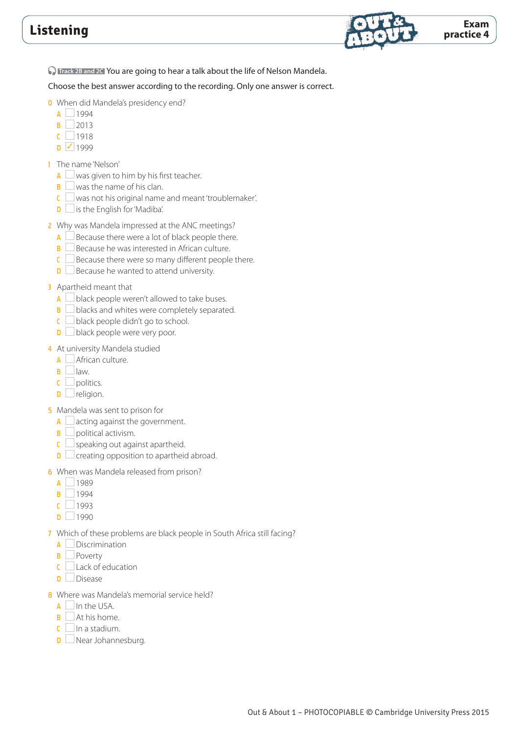

**D** Track 2B and 2C You are going to hear a talk about the life of Nelson Mandela.

Choose the best answer according to the recording. Only one answer is correct.

- 0 When did Mandela's presidency end?
	- $\overline{A}$  1994
	- $B$  2013
	- $C$  1918
	- $D \sqrt{1999}$
- 1 The name 'Nelson'
	- $A \cup$  was given to him by his first teacher.
	- $\mathbf{B} \square$  was the name of his clan.
	- $\epsilon$  was not his original name and meant 'troublemaker'.
	- $\mathbf{D}$   $\Box$  is the English for 'Madiba'.
- 2 Why was Mandela impressed at the ANC meetings?
	- $A \Box$  Because there were a lot of black people there.
	- $\mathbf{B} \Box$  Because he was interested in African culture.
	- $C \Box$  Because there were so many different people there.
	- $\mathbf{D}$   $\Box$  Because he wanted to attend university.

#### 3 Apartheid meant that

- $A \cup$  black people weren't allowed to take buses.
- $\mathbf{B}$   $\Box$  blacks and whites were completely separated.
- $\mathsf{C}$  black people didn't go to school.
- $\Box$  black people were very poor.

### 4 At university Mandela studied

- $\overline{A}$  African culture.
- $\overline{B}$  law.
- $\mathsf{c}$  politics.
- $\mathsf{D}$   $\Box$  religion.
- 5 Mandela was sent to prison for
	- $A \Box$  acting against the government.
	- $\mathbf{B} \Box$  political activism.
	- $\mathbf{C} \square$  speaking out against apartheid.
	- $\Box$  creating opposition to apartheid abroad.
- 6 When was Mandela released from prison?
	- $\overline{A}$  1989
	- $\overline{B}$  1994
	- $c$  1993
	- $\overline{D}$  1990
- 7 Which of these problems are black people in South Africa still facing?
	- $A \Box$  Discrimination
	- **B** Poverty
	- $C$  Lack of education
	- $\Box$  Disease
- 8 Where was Mandela's memorial service held?
	- $A$  In the USA.
	- $\overline{\mathsf{B}}$  At his home.
	- $\mathsf{C}$  In a stadium.
	- $\Box$  Near Johannesburg.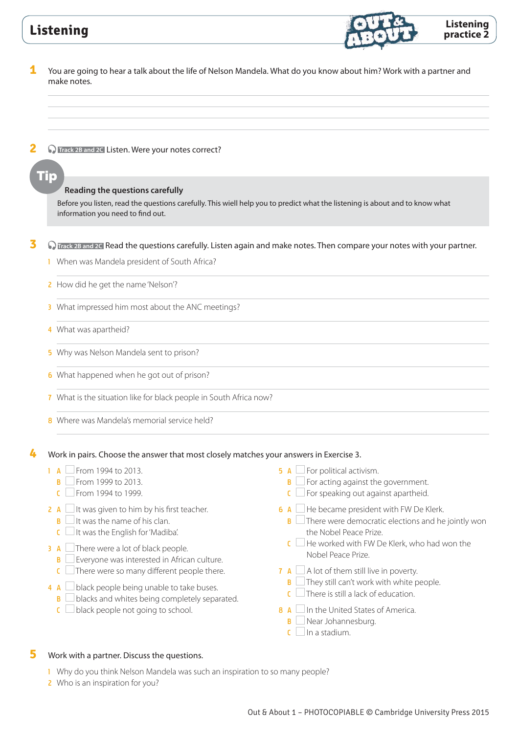

### **5** Work with a partner. Discuss the questions.

- 1 Why do you think Nelson Mandela was such an inspiration to so many people?
- 2 Who is an inspiration for you?

**Listening practice 2**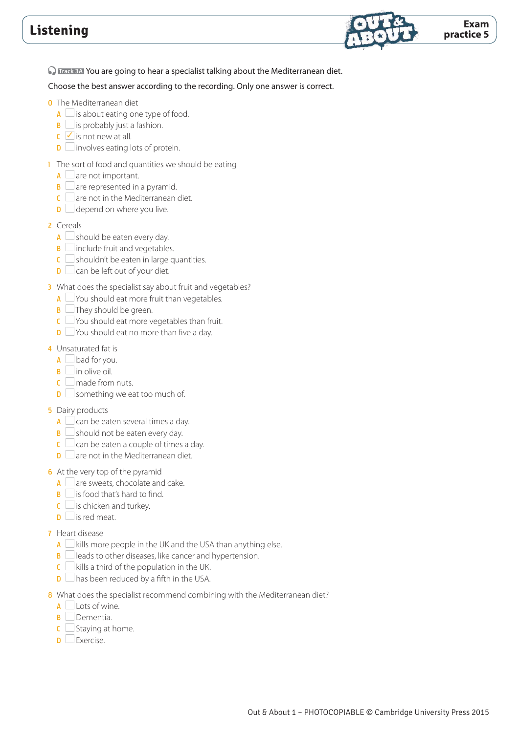

**C Track 3A** You are going to hear a specialist talking about the Mediterranean diet.

- 0 The Mediterranean diet
	- $A \Box$  is about eating one type of food.
	- $\mathbf{B} \square$  is probably just a fashion.
	- $\mathsf{C}$   $\mathsf{C}$  is not new at all.
	- $\Box$  involves eating lots of protein.
- 1 The sort of food and quantities we should be eating
	- $\overline{A}$  are not important.
	- $\overline{B}$  are represented in a pyramid.
	- $C \cup$  are not in the Mediterranean diet.
	- $\Box$  depend on where you live.
- 2 Cereals
	- $A \Box$  should be eaten every day.
	- $\mathbf{B}$  include fruit and vegetables.
	- $\mathsf{C} \square$  shouldn't be eaten in large quantities.
	- $\Box$  can be left out of your diet.
- 3 What does the specialist say about fruit and vegetables?
	- $A \Box$  You should eat more fruit than vegetables.
	- $\mathbf{B}$   $\Box$  They should be green.
	- $\mathsf{C}$   $\Box$  You should eat more vegetables than fruit.
	- $\Box$  You should eat no more than five a day.
- 4 Unsaturated fat is
	- $A \Box$  bad for you.
	- $\overline{\mathsf{B}}$  in olive oil.
	- $\mathsf{C}$  made from nuts.
	- $\mathbf{D}$  something we eat too much of.
- **5** Dairy products
	- $A \Box$  can be eaten several times a day.
	- $\mathbf{B}$  should not be eaten every day.
	- $\overline{C}$  can be eaten a couple of times a day.
	- $\Box$  are not in the Mediterranean diet.
- 6 At the very top of the pyramid
	- $\overline{A}$  are sweets, chocolate and cake.
	- $\mathbf{B}$  is food that's hard to find.
	- $\mathsf{C}$  is chicken and turkey.
	- $\mathbf{D}$   $\Box$  is red meat.
- 7 Heart disease
	- A  $\Box$  kills more people in the UK and the USA than anything else.
	- $\mathbf{B}$  leads to other diseases, like cancer and hypertension.
	- $\mathsf{C} \square$  kills a third of the population in the UK.
	- $\Box$  has been reduced by a fifth in the USA.
- 8 What does the specialist recommend combining with the Mediterranean diet?
	- $\overline{A}$  Lots of wine.
	- **B** Dementia.
	- $C \Box$  Staying at home.
	- $\Box$  Exercise.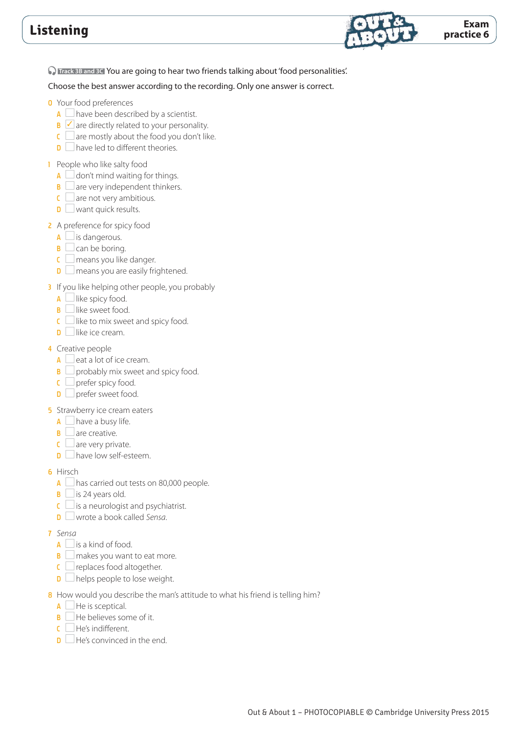

**D Track 3B and 3C** You are going to hear two friends talking about 'food personalities'.

Choose the best answer according to the recording. Only one answer is correct.

#### **0** Your food preferences

- $A \Box$  have been described by a scientist.
- $\mathbf{B}$   $\blacksquare$  are directly related to your personality.
- $\epsilon$  are mostly about the food you don't like.
- $\mathbf{D}$  have led to different theories.

#### 1 People who like salty food

- $A \cup$  don't mind waiting for things.
- $\mathbf{B} \square$  are very independent thinkers.
- $\mathsf{C} \square$  are not very ambitious.
- $\mathbf{D}$  want quick results.

#### 2 A preference for spicy food

- $\overline{A}$  is dangerous.
- $\mathbf{B}$   $\Box$  can be boring.
- $\mathsf{C} \square$  means you like danger.
- $\Box$  means you are easily frightened.
- 3 If you like helping other people, you probably
	- $A$   $\Box$  like spicy food.
	- $\mathbf{B}$  like sweet food.
	- $\mathsf{C}$  like to mix sweet and spicy food.
	- $\Box$  like ice cream.

#### 4 Creative people

- $A \Box$  eat a lot of ice cream.
- $\mathbf{B} \square$  probably mix sweet and spicy food.
- $\mathsf{C} \Box$  prefer spicy food.
- $\Box$  prefer sweet food.

#### **5** Strawberry ice cream eaters

- $A \Box$  have a busy life.
- $\mathbf{B}$  are creative.
- $\mathbf{C}$  are very private.
- $\Box$  have low self-esteem.

#### 6 Hirsch

- $A \Box$  has carried out tests on 80,000 people.
- $\mathbf{B}$   $\Box$  is 24 years old.
- $\mathsf{C} \square$  is a neurologist and psychiatrist.
- **D**  $□$  wrote a book called *Sensa*.

#### 7 *Sensa*

- $A \square$  is a kind of food.
- $\mathbf{B}$   $\Box$  makes you want to eat more.
- $\mathsf{C} \square$  replaces food altogether.
- $\mathbf{D}$   $\Box$  helps people to lose weight.
- 8 How would you describe the man's attitude to what his friend is telling him?
- $A \Box$  He is sceptical.
- $\mathbf{B}$   $\Box$  He believes some of it.
- $\Gamma$  He's indifferent.
- $\Box$  He's convinced in the end.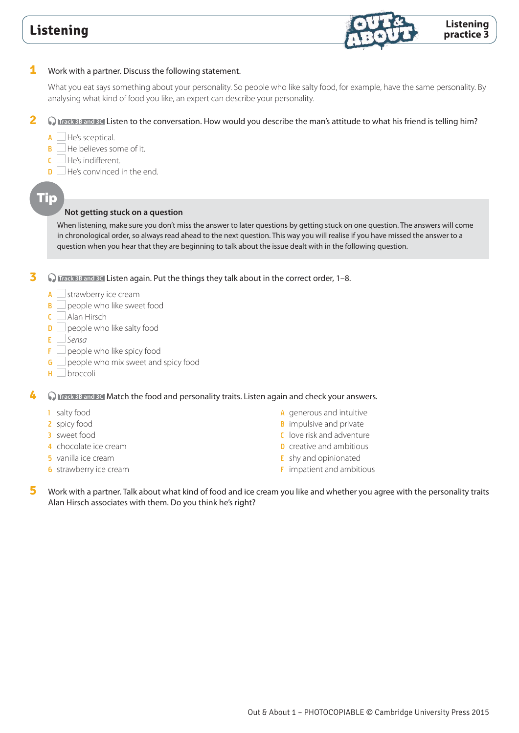

### **1** Work with a partner. Discuss the following statement.

What you eat says something about your personality. So people who like salty food, for example, have the same personality. By analysing what kind of food you like, an expert can describe your personality.

**2 D** Track 3B and 3C Listen to the conversation. How would you describe the man's attitude to what his friend is telling him?

- $A \Box$  He's sceptical.
- $\mathsf{B}$  He believes some of it.
- $\Gamma$  He's indifferent.
- $\Box$  He's convinced in the end.

# Tip

### **Not getting stuck on a question**

When listening, make sure you don't miss the answer to later questions by getting stuck on one question. The answers will come in chronological order, so always read ahead to the next question. This way you will realise if you have missed the answer to a question when you hear that they are beginning to talk about the issue dealt with in the following question.

**3 O** Frack 3B and 3C Listen again. Put the things they talk about in the correct order, 1–8.

- $A \square$  strawberry ice cream
- $B \Box$  people who like sweet food
- $C$  Alan Hirsch
- $\Box$  people who like salty food
- E *Sensa*
- $F \Box$  people who like spicy food
- $G \Box$  people who mix sweet and spicy food
- $H$  broccoli

**4 C Track 3B and 3C** Match the food and personality traits. Listen again and check your answers.

- 1 salty food
- 2 spicy food
- 3 sweet food
- 4 chocolate ice cream
- 5 vanilla ice cream
- **6** strawberry ice cream
- A generous and intuitive
- **B** impulsive and private
- C love risk and adventure
- **D** creative and ambitious
- **E** shy and opinionated
- **F** impatient and ambitious
- **5** Work with a partner. Talk about what kind of food and ice cream you like and whether you agree with the personality traits Alan Hirsch associates with them. Do you think he's right?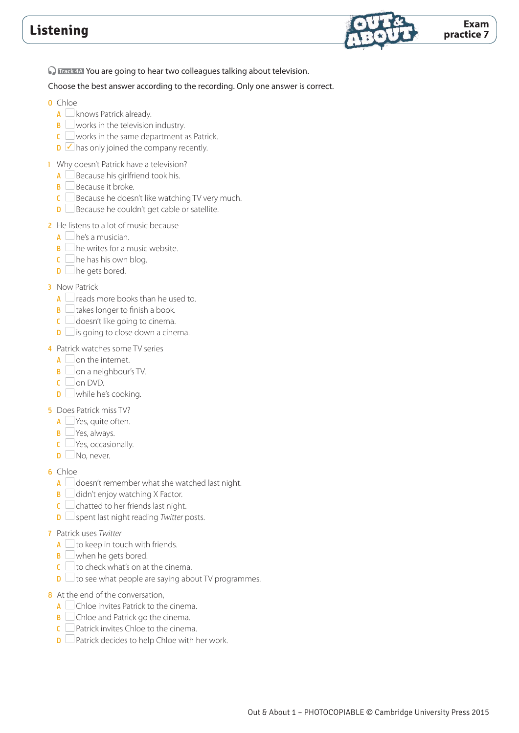

**C Track 4A** You are going to hear two colleagues talking about television.

- 0 Chloe
	- $A \square$  knows Patrick already.
	- $\mathbf{B}$  works in the television industry.
	- $\mathsf{C} \square$  works in the same department as Patrick.
	- $\Box$  has only joined the company recently.
- 1 Why doesn't Patrick have a television?
	- $A \Box$  Because his girlfriend took his.
	- $\mathbf{B} \Box$  Because it broke.
	- $C \Box$  Because he doesn't like watching TV very much.
	- $\Box$  Because he couldn't get cable or satellite.
- 2 He listens to a lot of music because
	- $A \Box$  he's a musician.
	- $\mathbf{B}$   $\Box$  he writes for a music website.
	- $C \square$  he has his own blog.
	- $\Box$  he gets bored.
- **3** Now Patrick
	- $A \Box$  reads more books than he used to.
	- $\mathbf{B}$   $\Box$  takes longer to finish a book.
	- $C \square$  doesn't like going to cinema.
	- $\mathbf{D}$  is going to close down a cinema.
- 4 Patrick watches some TV series
	- $\overline{A}$  on the internet.
	- $\mathbf{B} \square$  on a neighbour's TV.
	- $\mathsf{C}$  on DVD.
	- $\mathbf{D}$  while he's cooking.
- 5 Does Patrick miss TV?
	- $A \Box$  Yes, quite often.
	- **B** Yes, always.
	- $\mathbf{C}$   $\Box$  Yes, occasionally.
	- $\mathsf{D}$  No, never.
- 6 Chloe
	- $A \Box$  doesn't remember what she watched last night.
	- $\mathbf{B}$   $\Box$  didn't enjoy watching X Factor.
	- $\overline{\mathsf{C}}$   $\Box$  chatted to her friends last night.
	- **D** Spent last night reading *Twitter* posts.
- 7 Patrick uses *Twitter*
	- $A \cup$  to keep in touch with friends.
	- $\mathbf{B}$  when he gets bored.
	- $\overline{c}$  to check what's on at the cinema.
	- $\Box$  to see what people are saying about TV programmes.
- 8 At the end of the conversation,
	- $\overline{A}$  Chloe invites Patrick to the cinema.
	- B Chloe and Patrick go the cinema.
	- $C$  Patrick invites Chloe to the cinema.
	- $\Box$  Patrick decides to help Chloe with her work.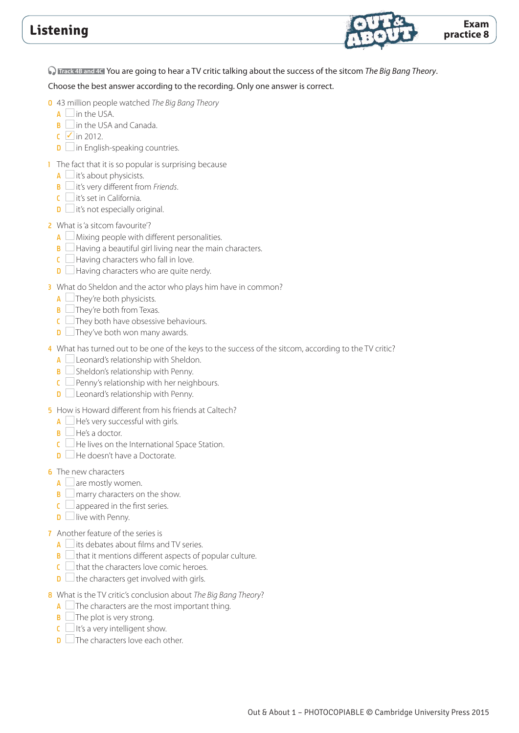

 **Track 4B and 4C** You are going to hear a TV critic talking about the success of the sitcom *The Big Bang Theory*.

Choose the best answer according to the recording. Only one answer is correct.

- 0 43 million people watched *The Big Bang Theory*
	- $A$  in the USA.
	- $\mathbf{B}$  in the USA and Canada.
	- $\mathsf{C}$   $\mathsf{V}$  in 2012.
	- $\Box$  in English-speaking countries.
- 1 The fact that it is so popular is surprising because
	- $\overline{A}$  it's about physicists.
	- B it's very different from *Friends*.
	- $C$  it's set in California.
	- $\mathbf{D}$  it's not especially original.

### 2 What is 'a sitcom favourite'?

- $A \Box$  Mixing people with different personalities.
- $\overline{\mathbf{B}}$  Having a beautiful girl living near the main characters.
- $\overline{C}$  Having characters who fall in love.
- $\Box$  Having characters who are quite nerdy.
- 3 What do Sheldon and the actor who plays him have in common?
	- $A$   $\Box$  They're both physicists.
	- $\mathbf{B}$   $\Box$  They're both from Texas.
	- $\epsilon$  They both have obsessive behaviours.
	- $\Box$  They've both won many awards.
- 4 What has turned out to be one of the keys to the success of the sitcom, according to the TV critic?
	- A Leonard's relationship with Sheldon.
	- $\overline{\mathbf{B}}$  Sheldon's relationship with Penny.
	- $C \Box$  Penny's relationship with her neighbours.
	- $\Box$  Leonard's relationship with Penny.
- 5 How is Howard different from his friends at Caltech?
	- $A \Box$  He's very successful with girls.
	- $\mathbf{B}$   $\Box$  He's a doctor.
	- $C$  He lives on the International Space Station.
	- $\Box$  He doesn't have a Doctorate.

### **6** The new characters

- $A \square$  are mostly women.
- $\mathbf{B}$  marry characters on the show.
- $\mathsf{C} \square$  appeared in the first series.
- $\mathbf{D}$  live with Penny.
- 7 Another feature of the series is
	- $\overline{A}$  its debates about films and TV series.
	- $\overline{B}$   $\Box$  that it mentions different aspects of popular culture.
	- $\epsilon$   $\Box$  that the characters love comic heroes.
	- $\Box$  the characters get involved with girls.
- 8 What is the TV critic's conclusion about *The Big Bang Theory*?
	- $A \Box$  The characters are the most important thing.
	- $\mathbf{B}$   $\Box$  The plot is very strong.
	- $C \square$  It's a very intelligent show.
	- $\Box$  The characters love each other.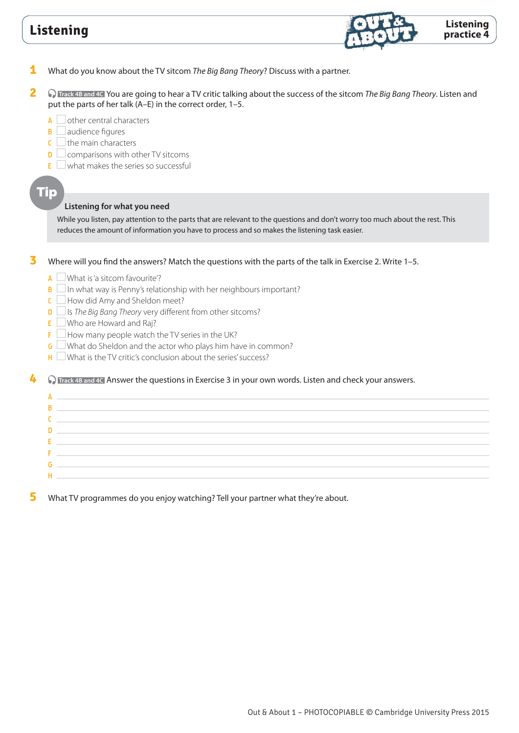

- **1** What do you know about the TV sitcom *The Big Bang Theory*? Discuss with a partner.
- **2 C** Track 4B and 4C You are going to hear a TV critic talking about the success of the sitcom *The Big Bang Theory*. Listen and put the parts of her talk (A–E) in the correct order, 1–5.
	- $\overline{A}$  other central characters
	- $\mathbf{B}$  audience figures
	- $\mathsf{C} \square$  the main characters
	- $\Box$  comparisons with other TV sitcoms
	- $E$  what makes the series so successful

### Tip

#### **Listening for what you need**

While you listen, pay attention to the parts that are relevant to the questions and don't worry too much about the rest. This reduces the amount of information you have to process and so makes the listening task easier.

**3** Where will you find the answers? Match the questions with the parts of the talk in Exercise 2. Write 1–5.

- $A \Box$  What is 'a sitcom favourite'?
- $\mathbf{B}$   $\Box$  In what way is Penny's relationship with her neighbours important?
- $C$  How did Amy and Sheldon meet?
- D Is *The Big Bang Theory* very different from other sitcoms?
- $E$  Who are Howard and Raj?
- $F \Box$  How many people watch the TV series in the UK?
- G  $\Box$  What do Sheldon and the actor who plays him have in common?
- $H$  What is the TV critic's conclusion about the series' success?

**4 C** Track 4B and 4C Answer the questions in Exercise 3 in your own words. Listen and check your answers.

 $\overline{A}$ B<sub>a</sub> **C C C C C C C C C**  $D \equiv$  $E =$ Fig. 1. The contract of the con-G H<sub>and</sub> Harry Company of the Company of the Company of the Company of the Company of the Company of the Company of the Company of the Company of the Company of the Company of the Company of the Company of the Company of the

**5** What TV programmes do you enjoy watching? Tell your partner what they're about.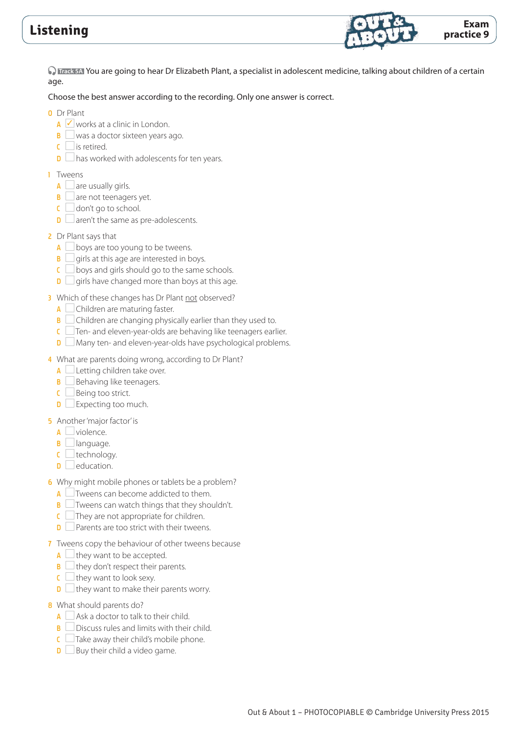

 **Track 5A** You are going to hear Dr Elizabeth Plant, a specialist in adolescent medicine, talking about children of a certain age.

Choose the best answer according to the recording. Only one answer is correct.

0 Dr Plant

- $\overline{A}$   $\overline{C}$  works at a clinic in London.
- $\mathbf{B}$  was a doctor sixteen years ago.
- $\mathbf{C}$  is retired.
- $\Box$  has worked with adolescents for ten years.
- 1 Tweens
	- $\overline{A}$  are usually girls.
	- $\mathbf{B} \square$  are not teenagers yet.
	- $\mathsf{C}$   $\Box$  don't go to school.
	- $\Box$  aren't the same as pre-adolescents.
- 2 Dr Plant says that
	- $A \Box$  boys are too young to be tweens.
	- $\mathbf{B} \square$  girls at this age are interested in boys.
	- $\overline{C}$  boys and girls should go to the same schools.
	- $\Box$  girls have changed more than boys at this age.
- 3 Which of these changes has Dr Plant not observed?
	- $A \Box$  Children are maturing faster.
	- $\overline{B}$   $\Box$  Children are changing physically earlier than they used to.
	- $\epsilon$  Ten- and eleven-year-olds are behaving like teenagers earlier.
	- $\Box$  Many ten- and eleven-year-olds have psychological problems.
- 4 What are parents doing wrong, according to Dr Plant?
	- $A$  Letting children take over.
	- $\mathbf{B}$   $\Box$  Behaving like teenagers.
	- $C \Box$  Being too strict.
	- $\mathbf{D}$  Expecting too much.
- 5 Another 'major factor' is
	- $\overline{A}$  violence.
	- $\mathbf{B}$   $\Box$  language.
	- $\mathsf{C}$   $\Box$  technology.
	- $\mathsf{D}$   $\Box$  education.
- 6 Why might mobile phones or tablets be a problem?
	- $A \Box$  Tweens can become addicted to them.
	- **B**  $\Box$  Tweens can watch things that they shouldn't.
	- $\mathsf{C}$  They are not appropriate for children.
	- $\Box$  Parents are too strict with their tweens.
- 7 Tweens copy the behaviour of other tweens because
	- $A \cup$  they want to be accepted.
	- $\mathbf{B} \square$  they don't respect their parents.
	- $\mathsf{C} \square$  they want to look sexy.
	- $\Box$  they want to make their parents worry.
- 8 What should parents do?
	- $A \square$  Ask a doctor to talk to their child.
	- **B** Discuss rules and limits with their child.
	- $C$   $\Box$  Take away their child's mobile phone.
	- $\Box$  Buy their child a video game.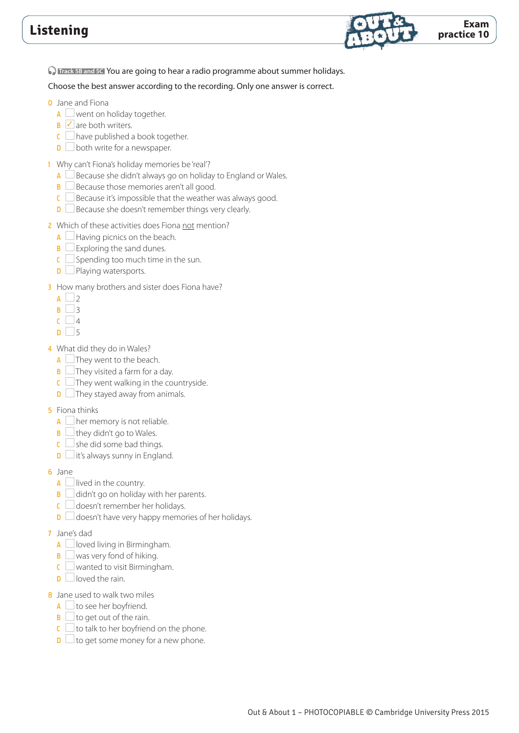

**C Track 5B and 5C** You are going to hear a radio programme about summer holidays.

- 0 Jane and Fiona
	- $A \square$  went on holiday together.
	- $\mathbf{B}$   $\mathbf{\nabla}$  are both writers.
	- $C \subseteq$  have published a book together.
	- $\Box$  both write for a newspaper.
- 1 Why can't Fiona's holiday memories be 'real'?
	- $A \Box$  Because she didn't always go on holiday to England or Wales.
	- $\overline{B}$  Because those memories aren't all good.
	- $\epsilon$  Because it's impossible that the weather was always good.
	- $\Box$  Because she doesn't remember things very clearly.
- 2 Which of these activities does Fiona not mention?
	- $A \Box$  Having picnics on the beach.
	- $\mathbf{B} \square$  Exploring the sand dunes.
	- $C \subseteq$  Spending too much time in the sun.
	- $\Box$  Playing watersports.
- 3 How many brothers and sister does Fiona have?
	- $A \cup 2$
	- $B \Box 3$
	- $\overline{C}$  4
	- $D \Box 5$
- 4 What did they do in Wales?
	- $A \Box$  They went to the beach.
	- $\mathbf{B}$   $\Box$  They visited a farm for a day.
	- $\epsilon$  They went walking in the countryside.
	- $\Box$  They stayed away from animals.
- **5** Fiona thinks
	- $A \Box$  her memory is not reliable.
	- $\mathbf{B}$   $\Box$  they didn't go to Wales.
	- $\mathsf{C} \square$  she did some bad things.
	- $\Box$  it's always sunny in England.
- 6 Jane
	- $A \Box$  lived in the country.
	- $\overline{B}$   $\Box$  didn't go on holiday with her parents.
	- $\mathsf{C} \cup \mathsf{doesn}'$ t remember her holidays.
	- $\Box$  doesn't have very happy memories of her holidays.
- 7 Jane's dad
	- $A \Box$  loved living in Birmingham.
	- $\mathbf{B}$  was very fond of hiking.
	- $\mathsf{C} \square$  wanted to visit Birmingham.
	- $\Box$  loved the rain.
- 8 Jane used to walk two miles
	- $A \square$  to see her boyfriend.
	- $\mathbf{B}$   $\Box$  to get out of the rain.
	- $\mathsf{C} \square$  to talk to her boyfriend on the phone.
	- $\Box$  to get some money for a new phone.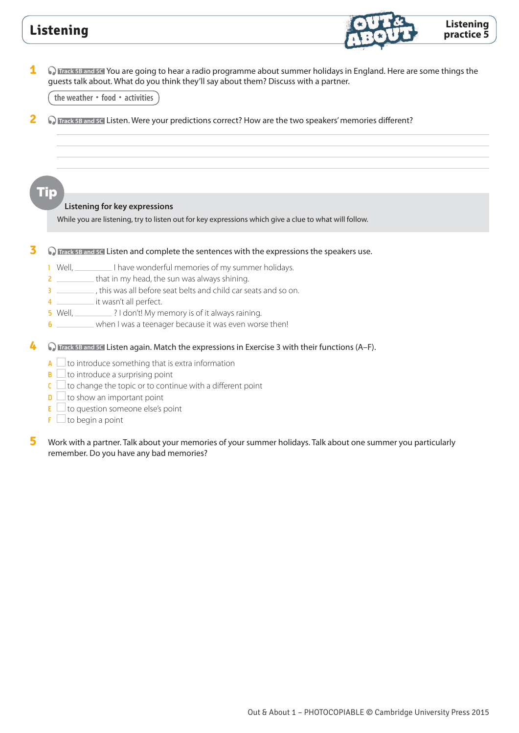

**1 C** Track 5B and 5C You are going to hear a radio programme about summer holidays in England. Here are some things the guests talk about. What do you think they'll say about them? Discuss with a partner.

**the weather • food • activities**

**2 D** Track 5B and 5C Listen. Were your predictions correct? How are the two speakers' memories different?

Tip

#### **Listening for key expressions**

While you are listening, try to listen out for key expressions which give a clue to what will follow.

#### **3 O** Track 5B and 5C Listen and complete the sentences with the expressions the speakers use.

- 1 Well, I well, I have wonderful memories of my summer holidays.
- 2 \_\_\_\_\_\_\_\_\_ that in my head, the sun was always shining.
- 3 \_\_\_\_\_\_\_\_\_\_\_, this was all before seat belts and child car seats and so on.
- 4 \_\_\_\_\_\_\_\_\_\_\_\_\_ it wasn't all perfect.
- 5 Well, 2003 and 1 don't! My memory is of it always raining.
- 6 When I was a teenager because it was even worse then!
- **4 C** Track 5B and 5C Listen again. Match the expressions in Exercise 3 with their functions (A–F).
	- $A \Box$  to introduce something that is extra information
	- $\mathbf{B}$   $\Box$  to introduce a surprising point
	- $\epsilon$   $\Box$  to change the topic or to continue with a different point
	- $\mathbf{D}$   $\Box$  to show an important point
	- $E \Box$  to question someone else's point
	- $\mathsf{F} \sqcup$  to begin a point
- **5** Work with a partner. Talk about your memories of your summer holidays. Talk about one summer you particularly remember. Do you have any bad memories?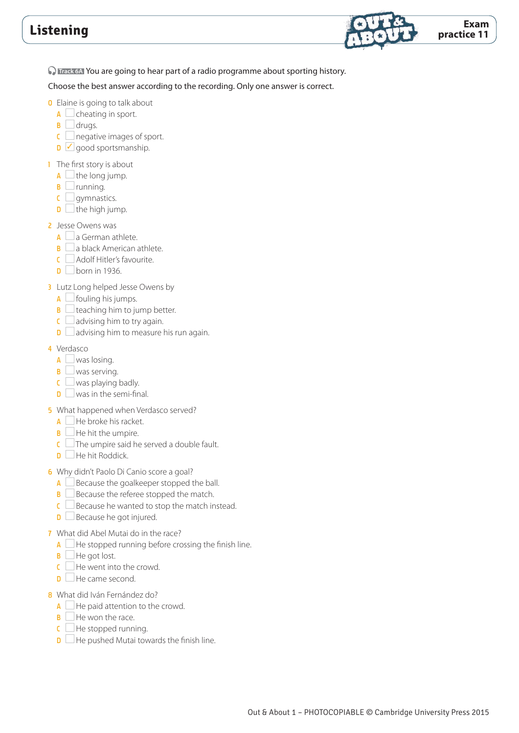

**C Track 6A** You are going to hear part of a radio programme about sporting history.

- **0** Elaine is going to talk about
	- $A \square$  cheating in sport.
	- $\mathbf{B}$   $\Box$  drugs.
	- $\mathfrak{c}$  negative images of sport.
	- $\Box$  good sportsmanship.
- 1 The first story is about
	- $A \Box$  the long jump.
	- $\mathbf{B}$   $\Box$  running.
	- $C \Box$  gymnastics.
	- $\mathbf{D}$  the high jump.
- 2 Jesse Owens was
	- $\overline{A}$  a German athlete.
	- $\mathbf{B} \Box$  a black American athlete.
	- $C \cap$  Adolf Hitler's favourite.
	- $\mathsf{D}$  born in 1936.
- **3** Lutz Long helped Jesse Owens by
	- $A \Box$  fouling his jumps.
	- $\mathbf{B} \square$  teaching him to jump better.
	- $\mathsf{C} \square$  advising him to try again.
	- $\Box$  advising him to measure his run again.
- 4 Verdasco
	- $A \square$  was losing.
	- $\mathbf{B} \square$  was serving.
	- $\mathsf{C} \sqcup$  was playing badly.
	- $\mathbf{D}$  was in the semi-final.
- 5 What happened when Verdasco served?
	- $A \Box$  He broke his racket.
	- $\mathbf{B}$   $\Box$  He hit the umpire.
	- $\overline{\mathsf{c}}$  The umpire said he served a double fault.
	- $\Box$  He hit Roddick.
- 6 Why didn't Paolo Di Canio score a goal?
	- $A \Box$  Because the goalkeeper stopped the ball.
	- $\mathbf{B} \square$  Because the referee stopped the match.
	- $C \Box$  Because he wanted to stop the match instead.
	- $\mathbf{D}$   $\Box$  Because he got injured.
- 7 What did Abel Mutai do in the race?
	- A  $\Box$  He stopped running before crossing the finish line.
	- $\mathbf{B}$   $\Box$  He got lost.
	- $C \Box$  He went into the crowd.
	- $\Box$  He came second.
- 8 What did Iván Fernández do?
	- $A \square$  He paid attention to the crowd.
	- $B$   $\Box$  He won the race.
	- $C$  He stopped running.
	- $\Box$  He pushed Mutai towards the finish line.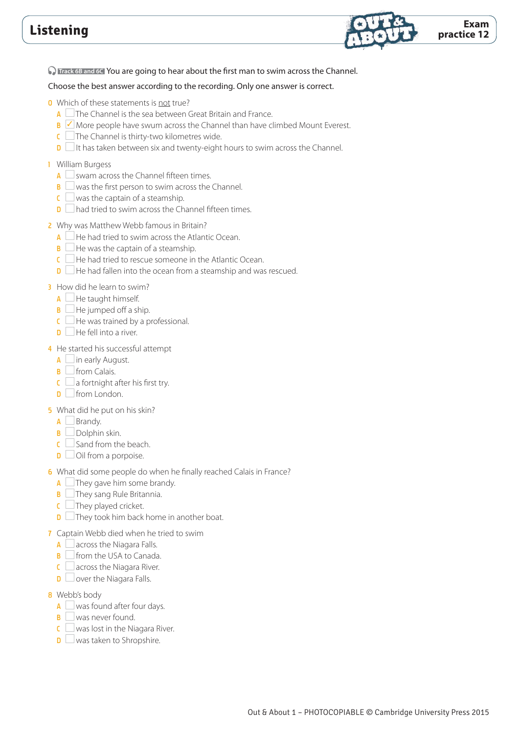

**D** Track 6B and 6C You are going to hear about the first man to swim across the Channel.

### Choose the best answer according to the recording. Only one answer is correct.

- 0 Which of these statements is not true?
	- $A$   $\Box$  The Channel is the sea between Great Britain and France.
	- $\overline{B}$   $\overline{\smash{\big)}\,}$  More people have swum across the Channel than have climbed Mount Everest.
	- $\overline{\mathsf{c}}$  The Channel is thirty-two kilometres wide.
	- $\Box$  It has taken between six and twenty-eight hours to swim across the Channel.

### 1 William Burgess

- $A \cup$  swam across the Channel fifteen times.
- $\mathbf{B} \square$  was the first person to swim across the Channel.
- $\overline{\mathsf{C}}$  was the captain of a steamship.
- $\Box$  had tried to swim across the Channel fifteen times.
- 2 Why was Matthew Webb famous in Britain?
	- $A \Box$  He had tried to swim across the Atlantic Ocean.
	- $\mathbf{B}$   $\Box$  He was the captain of a steamship.
	- $\overline{C}$   $\Box$  He had tried to rescue someone in the Atlantic Ocean.
	- $\Box$  He had fallen into the ocean from a steamship and was rescued.

### 3 How did he learn to swim?

- $A \Box$  He taught himself.
- $\mathbf{B}$   $\Box$  He jumped off a ship.
- $\overline{C}$  He was trained by a professional.
- $\Box$  He fell into a river.

### 4 He started his successful attempt

- $A$  in early August.
- $\mathbf{B}$   $\Box$  from Calais.
- $\mathsf{C} \square$  a fortnight after his first try.
- D from London.

### 5 What did he put on his skin?

- A Brandy.
- $\mathbf{B}$  Dolphin skin.
- $\mathsf{C} \square$  Sand from the beach.
- $\Box$  Oil from a porpoise.

### 6 What did some people do when he finally reached Calais in France?

- $A \Box$  They gave him some brandy.
- **B** They sang Rule Britannia.
- $C$  They played cricket.
- $\Box$  They took him back home in another boat.
- 7 Captain Webb died when he tried to swim
- $A \Box$  across the Niagara Falls.
- $\mathbf{B}$   $\Box$  from the USA to Canada.
- $C \square$  across the Niagara River.
- $\Box$  over the Niagara Falls.
- **8** Webb's body
	- $\overline{A}$  was found after four days.
	- $\mathbf{B} \square$  was never found.
	- $\mathsf{C} \square$  was lost in the Niagara River.
	- $\Box$  was taken to Shropshire.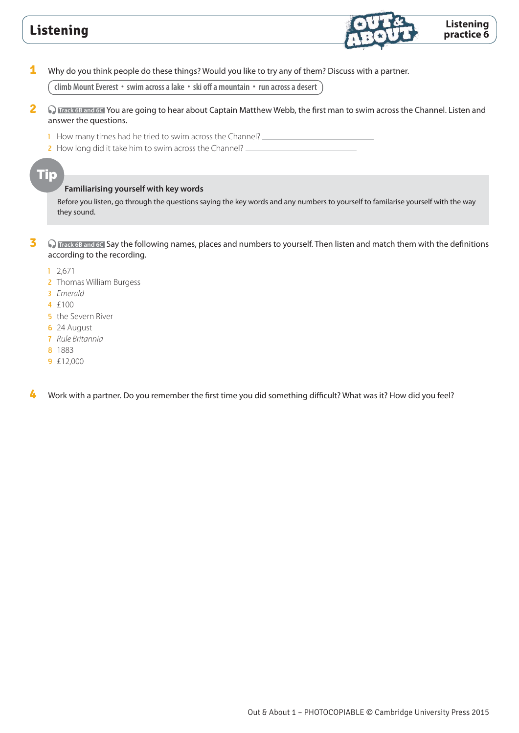

**1** Why do you think people do these things? Would you like to try any of them? Discuss with a partner.

**climb Mount Everest • swim across a lake • ski off a mountain • run across a desert**

- **2 C** Track 6B and 6C You are going to hear about Captain Matthew Webb, the first man to swim across the Channel. Listen and answer the questions.
	- 1 How many times had he tried to swim across the Channel?
	- 2 How long did it take him to swim across the Channel?

### Tip

#### **Familiarising yourself with key words**

Before you listen, go through the questions saying the key words and any numbers to yourself to familarise yourself with the way they sound.

**3** • **C Track 6B and 6C** Say the following names, places and numbers to yourself. Then listen and match them with the definitions according to the recording.

- 1 2,671
- 2 Thomas William Burgess
- 3 *Emerald*
- 4 £100
- **5** the Severn River
- 6 24 August
- 7 *Rule Britannia*
- 8 1883
- 9 £12,000

**4** Work with a partner. Do you remember the first time you did something difficult? What was it? How did you feel?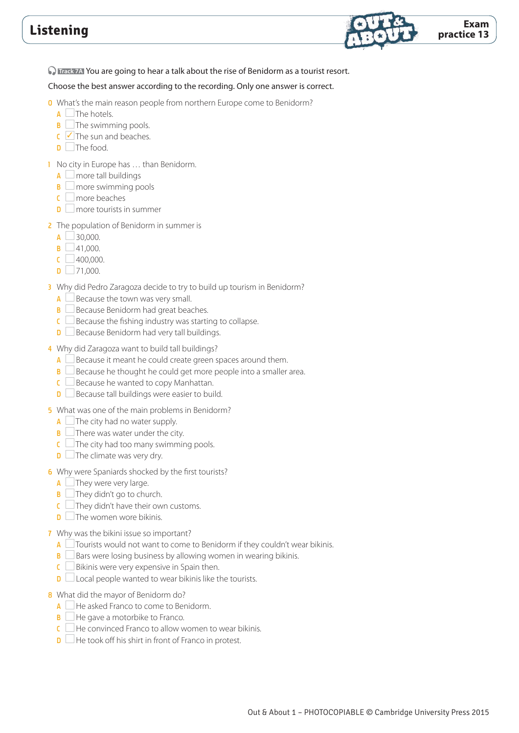

**D Track 7A** You are going to hear a talk about the rise of Benidorm as a tourist resort.

#### Choose the best answer according to the recording. Only one answer is correct.

- 0 What's the main reason people from northern Europe come to Benidorm?
	- $A$   $\Box$  The hotels.
	- $\mathbf{B}$   $\Box$  The swimming pools.
	- $C \nightharpoonup$  The sun and beaches.
	- $\Box$  The food.
- 1 No city in Europe has ... than Benidorm.
	- $A \Box$  more tall buildings
	- $\mathbf{B}$  more swimming pools
	- $C \mid$  more beaches
	- $\Box$  more tourists in summer
- 2 The population of Benidorm in summer is
	- $A \cup 30,000$ .
	- $\mathsf{B}$  41,000.
	- $C \Box 400,000.$
	- $\Box$  71,000.
- 3 Why did Pedro Zaragoza decide to try to build up tourism in Benidorm?
	- $A \Box$  Because the town was very small.
	- **B** Because Benidorm had great beaches.
	- $\mathsf{C} \square$  Because the fishing industry was starting to collapse.
	- $\Box$  Because Benidorm had very tall buildings.
- 4 Why did Zaragoza want to build tall buildings?
	- $A \Box$  Because it meant he could create green spaces around them.
	- $\overline{B}$   $\Box$  Because he thought he could get more people into a smaller area.
	- $C \Box$  Because he wanted to copy Manhattan.
	- **D** Because tall buildings were easier to build.
- 5 What was one of the main problems in Benidorm?
- $A \Box$  The city had no water supply.
- $\mathbf{B}$  There was water under the city.
- $\overline{C}$  The city had too many swimming pools.
- $\Box$  The climate was very dry.
- 6 Why were Spaniards shocked by the first tourists?
	- $A$   $\Box$  They were very large.
	- $\mathbf{B}$   $\Box$  They didn't go to church.
	- $\epsilon$   $\Box$  They didn't have their own customs.
	- $\mathbf{D}$   $\Box$  The women wore bikinis.

#### 7 Why was the bikini issue so important?

- A  $\Box$  Tourists would not want to come to Benidorm if they couldn't wear bikinis.
- $\overline{B}$   $\Box$  Bars were losing business by allowing women in wearing bikinis.
- $C \Box$  Bikinis were very expensive in Spain then.
- $\Box$  Local people wanted to wear bikinis like the tourists.
- 8 What did the mayor of Benidorm do?
	- A He asked Franco to come to Benidorm.
	- $\mathbf{B}$   $\Box$  He gave a motorbike to Franco.
	- $\overline{\mathsf{C}}$  He convinced Franco to allow women to wear bikinis.
	- $\Box$  He took off his shirt in front of Franco in protest.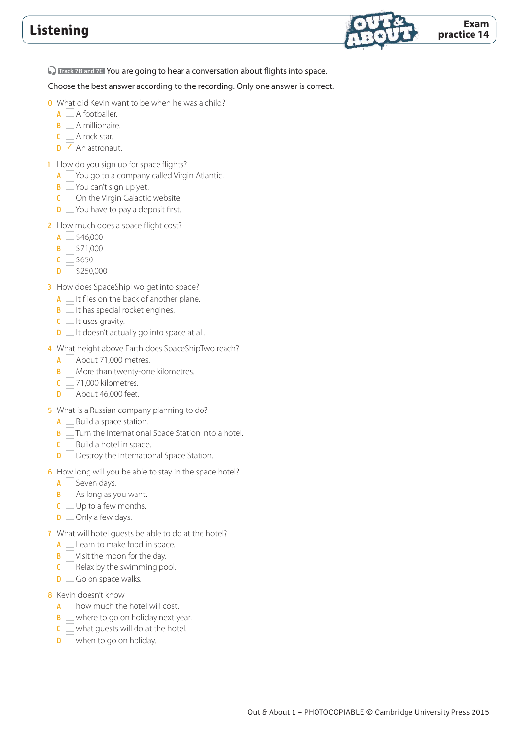

**C** Track 7B and 7C You are going to hear a conversation about flights into space.

- 0 What did Kevin want to be when he was a child?
	- $A \cap A$  footballer.
	- **B** A millionaire.
	- $C$  A rock star.
	- $\Box$  An astronaut.
- 1 How do you sign up for space flights?
	- $A \cup$  You go to a company called Virgin Atlantic.
	- $\mathbf{B} \square$  You can't sign up yet.
	- $C$  On the Virgin Galactic website.
	- $\Box$  You have to pay a deposit first.
- 2 How much does a space flight cost?
	- $A \cup $46,000$
	- $\overline{B}$   $\overline{\phantom{0}}$  \$71,000
	- $C \Box$  \$650
	- $\Box$ \$250,000
- **3** How does SpaceShipTwo get into space?
	- $A \cup B$  it flies on the back of another plane.
	- $\mathbf{B}$  It has special rocket engines.
	- $C \Box$  It uses gravity.
	- $\Box$  It doesn't actually go into space at all.
- 4 What height above Earth does SpaceShipTwo reach?
	- $A \Box$  About 71,000 metres.
	- $\mathbf{B}$  More than twenty-one kilometres.
	- $\overline{C}$  71,000 kilometres.
	- $\Box$  About 46,000 feet.
- 5 What is a Russian company planning to do?
	- $A \Box$  Build a space station.
	- $\overline{\mathbf{B}}$   $\Box$  Turn the International Space Station into a hotel.
	- $\mathsf{C} \square$  Build a hotel in space.
	- $\Box$  Destroy the International Space Station.
- 6 How long will you be able to stay in the space hotel?
	- $A \square$  Seven days.
	- $\overline{\mathbf{B}}$   $\Box$  As long as you want.
	- $C \Box$  Up to a few months.
	- $\Box$  Only a few days.
- 7 What will hotel guests be able to do at the hotel?
	- $A \Box$  Learn to make food in space.
	- $\mathbf{B}$   $\Box$  Visit the moon for the day.
	- $C \subseteq$  Relax by the swimming pool.
	- $\Box$  Go on space walks.
- 8 Kevin doesn't know
	- $A \cap$  how much the hotel will cost.
	- $\mathbf{B}$  where to go on holiday next year.
	- $\overline{\mathsf{C}}$  what guests will do at the hotel.
	- $\Box$  when to go on holiday.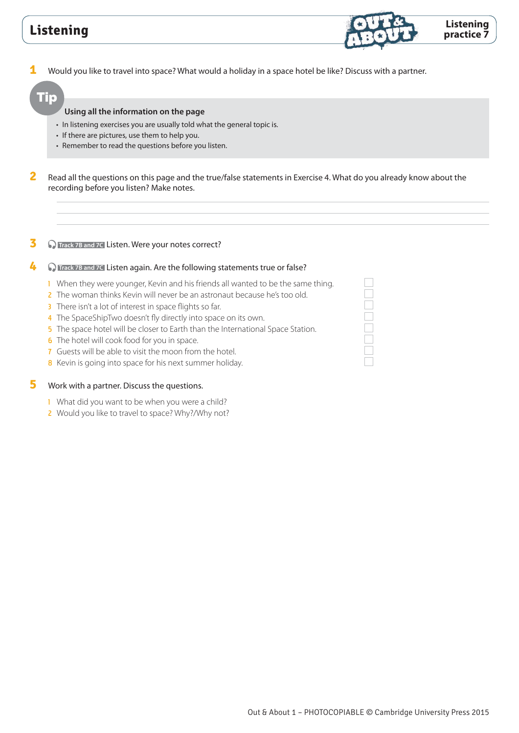**1** Would you like to travel into space? What would a holiday in a space hotel be like? Discuss with a partner.

### Tip

#### **Using all the information on the page**

- In listening exercises you are usually told what the general topic is.
- If there are pictures, use them to help you.
- Remember to read the questions before you listen.

**2** Read all the questions on this page and the true/false statements in Exercise 4. What do you already know about the recording before you listen? Make notes.

#### **3 O** Track 7B and 7C Listen. Were your notes correct?

#### **4 C** Frack 7B and 7C Listen again. Are the following statements true or false?

- 1 When they were younger, Kevin and his friends all wanted to be the same thing.
- 2 The woman thinks Kevin will never be an astronaut because he's too old.
- 3 There isn't a lot of interest in space flights so far.
- 4 The SpaceShipTwo doesn't fly directly into space on its own.
- 5 The space hotel will be closer to Earth than the International Space Station.
- 6 The hotel will cook food for you in space.
- 7 Guests will be able to visit the moon from the hotel.
- 8 Kevin is going into space for his next summer holiday.

### **5** Work with a partner. Discuss the questions.

- 1 What did you want to be when you were a child?
- 2 Would you like to travel to space? Why?/Why not?



**Listening practice 7**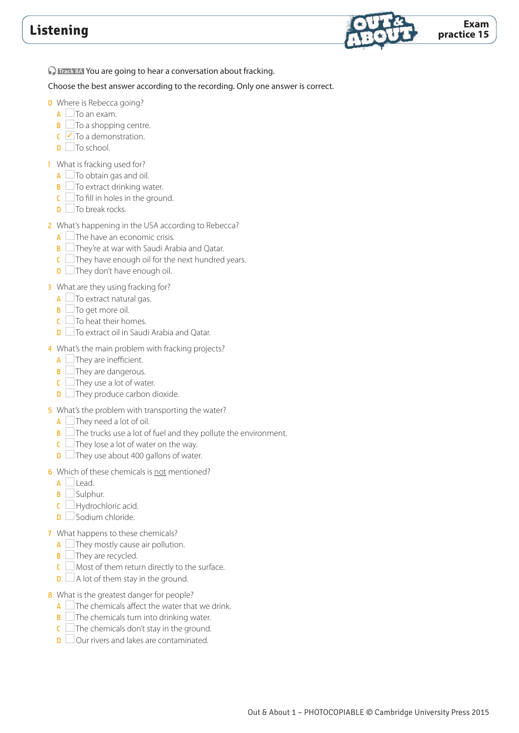

**C Track 8A** You are going to hear a conversation about fracking.

- **0** Where is Rebecca going?
	- $\overline{A}$   $\Box$  To an exam.
	- $\mathsf{B}$   $\Box$  To a shopping centre.
	- $\mathsf{C}$   $\mathsf{\nabla}$  To a demonstration.
	- $\Box$  To school.
- 1 What is fracking used for?
	- $A \Box$  To obtain gas and oil.
	- $\mathbf{B}$   $\Box$  To extract drinking water.
	- $C$   $\Box$  To fill in holes in the ground.
	- $\Box$  To break rocks.
- 2 What's happening in the USA according to Rebecca?
	- $A \cup$  The have an economic crisis.
	- $\overline{\mathsf{B}}$   $\Box$  They're at war with Saudi Arabia and Qatar.
	- $C$  They have enough oil for the next hundred years.
	- $\Box$  They don't have enough oil.
- **3** What are they using fracking for?
	- $A \Box$  To extract natural gas.
	- $\mathbf{B}$   $\Box$  To get more oil.
	- $C$   $\Box$  To heat their homes.
	- D **To extract oil in Saudi Arabia and Qatar.**
- 4 What's the main problem with fracking projects?
	- $A$   $\Box$  They are inefficient.
	- $\mathbf{B}$   $\Box$  They are dangerous.
	- $C$   $\Box$  They use a lot of water.
	- $\Box$  They produce carbon dioxide.
- 5 What's the problem with transporting the water?
	- $A \Box$  They need a lot of oil.
	- $\overline{B}$   $\Box$  The trucks use a lot of fuel and they pollute the environment.
	- $\overline{C}$  They lose a lot of water on the way.
	- D **They use about 400 gallons of water.**
- 6 Which of these chemicals is not mentioned?
	- $\overline{A}$  Lead.
	- **B** Sulphur.
	- $C \Box$  Hydrochloric acid.
	- $\Box$  Sodium chloride.
- 7 What happens to these chemicals?
	- $\overline{A}$   $\Box$  They mostly cause air pollution.
	- $\mathbf{B}$   $\Box$  They are recycled.
	- $C \square$  Most of them return directly to the surface.
	- $\Box$  A lot of them stay in the ground.
- 8 What is the greatest danger for people?
	- $\overline{A}$  The chemicals affect the water that we drink.
	- $\overline{B}$  The chemicals turn into drinking water.
	- $\mathsf{C}$  The chemicals don't stay in the ground.
	- $\overline{\mathsf{D}}$  Our rivers and lakes are contaminated.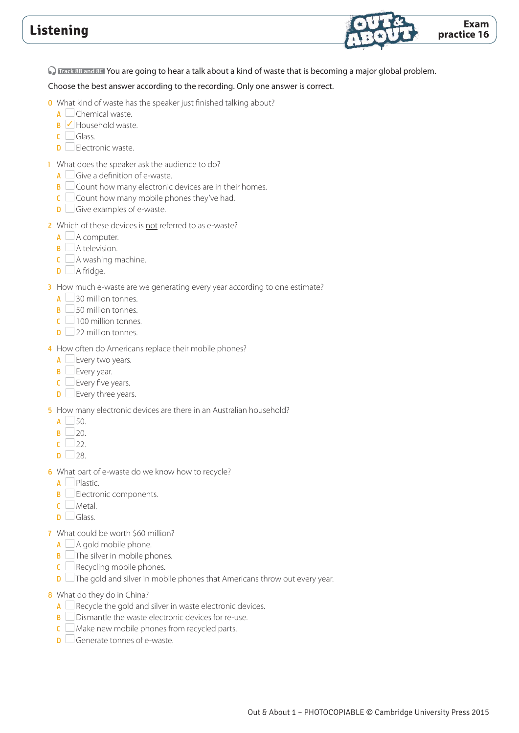

 **Track 8B and 8C** You are going to hear a talk about a kind of waste that is becoming a major global problem.

Choose the best answer according to the recording. Only one answer is correct.

- 0 What kind of waste has the speaker just finished talking about?
	- **A** Chemical waste.
	- $\overline{B}$   $\overline{\smash{\bigtriangledown}}$  Household waste.
	- $C \square$  Glass.
	- $\Box$  Electronic waste.
- 1 What does the speaker ask the audience to do?
	- $\overline{A}$   $\Box$  Give a definition of e-waste.
	- $\overline{B}$   $\Box$  Count how many electronic devices are in their homes.
	- $C \square$  Count how many mobile phones they've had.
	- $\Box$  Give examples of e-waste.
- 2 Which of these devices is not referred to as e-waste?
	- $A \Box A$  computer.
	- $\mathbf{B}$   $\Box$  A television.
	- $C \square$  A washing machine.
	- $\Box$  A fridge.

### 3 How much e-waste are we generating every year according to one estimate?

- $\overline{A}$  30 million tonnes.
- $\overline{\mathsf{B}}$  50 million tonnes.
- $\mathsf{C}$  100 million tonnes.
- $\Box$  22 million tonnes.
- 4 How often do Americans replace their mobile phones?
	- $A \Box$  Every two years.
	- $\mathbf{B}$  Every year.
	- $C \Box$  Every five years.
	- $\Box$  Every three years.

### 5 How many electronic devices are there in an Australian household?

- $A \Box$  50.
- $\mathsf{B}$  20.
- $C$  22.
- $\Box$  28.
- 6 What part of e-waste do we know how to recycle?
	- $A \Box$  Plastic.
	- $\mathbf{B} \square$  Electronic components.
	- C Metal.
	- D Glass
- 7 What could be worth \$60 million?
	- $A \Box A$  gold mobile phone.
	- $\mathbf{B}$   $\Box$  The silver in mobile phones.
	- $C \square$  Recycling mobile phones.
	- $\Box$  The gold and silver in mobile phones that Americans throw out every year.
- 8 What do they do in China?
	- $A \Box$  Recycle the gold and silver in waste electronic devices.
	- B **Dismantle the waste electronic devices for re-use.**
	- $C$  Make new mobile phones from recycled parts.
	- $\Box$  Generate tonnes of e-waste.